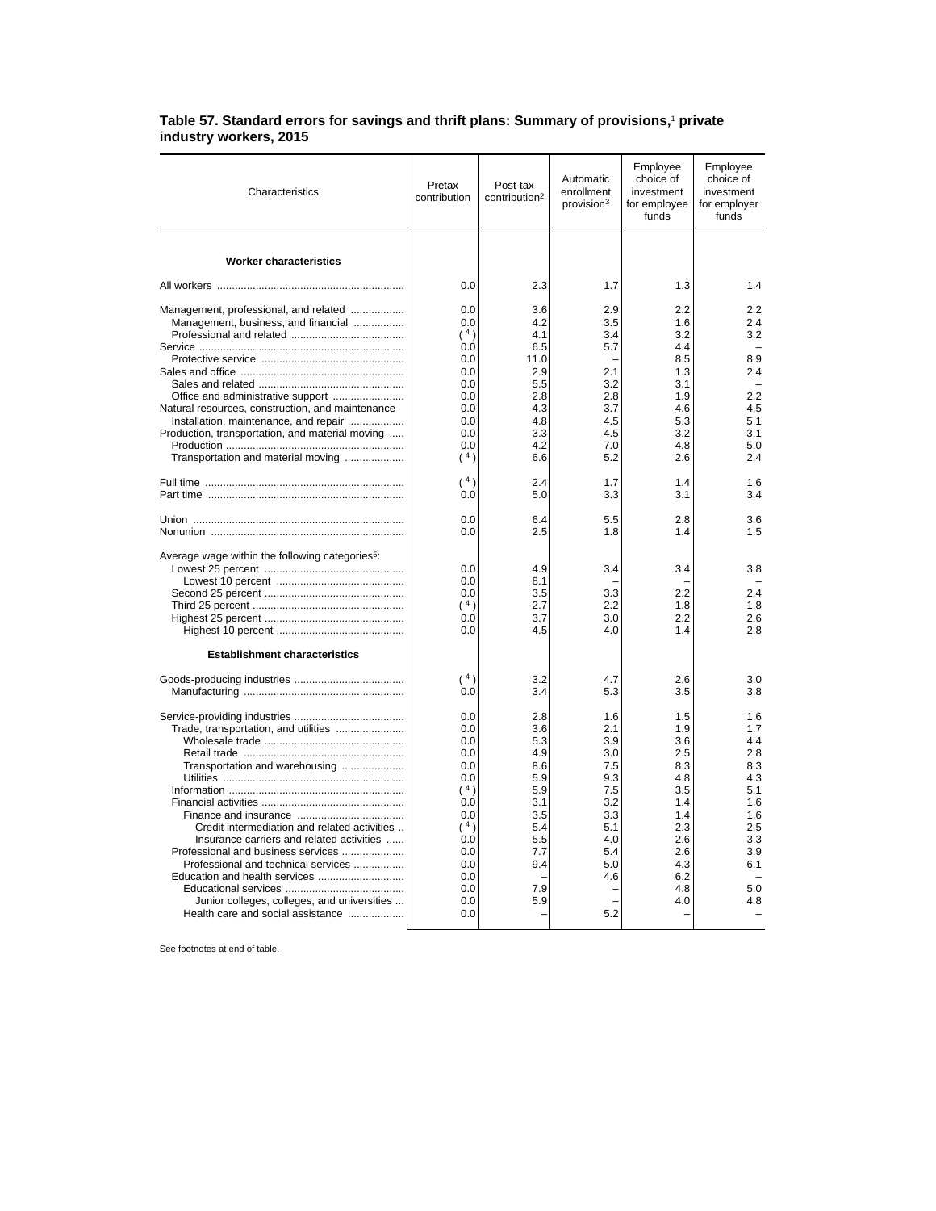## **Table 57. Standard errors for savings and thrift plans: Summary of provisions,**<sup>1</sup>  **private industry workers, 2015**

| Characteristics                                                                                                                                                                                                                                                                                                                                                       | Pretax<br>contribution                                                                                              | Post-tax<br>contribution <sup>2</sup>                                                                 | Automatic<br>enrollment<br>provision <sup>3</sup>                                                     | Employee<br>choice of<br>investment<br>for employee<br>funds                                                 | Employee<br>choice of<br>investment<br>for employer<br>funds                                          |
|-----------------------------------------------------------------------------------------------------------------------------------------------------------------------------------------------------------------------------------------------------------------------------------------------------------------------------------------------------------------------|---------------------------------------------------------------------------------------------------------------------|-------------------------------------------------------------------------------------------------------|-------------------------------------------------------------------------------------------------------|--------------------------------------------------------------------------------------------------------------|-------------------------------------------------------------------------------------------------------|
| <b>Worker characteristics</b>                                                                                                                                                                                                                                                                                                                                         |                                                                                                                     |                                                                                                       |                                                                                                       |                                                                                                              |                                                                                                       |
|                                                                                                                                                                                                                                                                                                                                                                       | 0.0                                                                                                                 | 2.3                                                                                                   | 1.7                                                                                                   | 1.3                                                                                                          | 1.4                                                                                                   |
| Management, professional, and related<br>Management, business, and financial<br>Natural resources, construction, and maintenance<br>Installation, maintenance, and repair<br>Production, transportation, and material moving                                                                                                                                          | 0.0<br>0.0<br>(4)<br>0.0<br>0.0<br>0.0<br>0.0<br>0.0<br>0.0<br>0.0<br>0.0<br>0.0                                    | 3.6<br>4.2<br>4.1<br>6.5<br>11.0<br>2.9<br>5.5<br>2.8<br>4.3<br>4.8<br>3.3<br>4.2                     | 2.9<br>3.5<br>3.4<br>5.7<br>2.1<br>3.2<br>2.8<br>3.7<br>4.5<br>4.5<br>7.0                             | 2.2<br>1.6<br>3.2<br>4.4<br>8.5<br>1.3<br>3.1<br>1.9<br>4.6<br>5.3<br>3.2<br>4.8                             | 2.2<br>2.4<br>3.2<br>8.9<br>2.4<br>2.2<br>4.5<br>5.1<br>3.1<br>5.0<br>2.4                             |
| Transportation and material moving                                                                                                                                                                                                                                                                                                                                    | (4)<br>(4)<br>0.0                                                                                                   | 6.6<br>2.4<br>5.0                                                                                     | 5.2<br>1.7<br>3.3                                                                                     | 2.6<br>1.4<br>3.1                                                                                            | 1.6<br>3.4                                                                                            |
|                                                                                                                                                                                                                                                                                                                                                                       | 0.0<br>0.0                                                                                                          | 6.4<br>2.5                                                                                            | 5.5<br>1.8                                                                                            | 2.8<br>1.4                                                                                                   | 3.6<br>1.5                                                                                            |
| Average wage within the following categories <sup>5</sup> :                                                                                                                                                                                                                                                                                                           | 0.0<br>0.0<br>0.0<br>(4)<br>0.0<br>0.0                                                                              | 4.9<br>8.1<br>3.5<br>2.7<br>3.7<br>4.5                                                                | 3.4<br>3.3<br>2.2<br>3.0<br>4.0                                                                       | 3.4<br>2.2<br>1.8<br>2.2<br>1.4                                                                              | 3.8<br>2.4<br>1.8<br>2.6<br>2.8                                                                       |
| <b>Establishment characteristics</b>                                                                                                                                                                                                                                                                                                                                  |                                                                                                                     |                                                                                                       |                                                                                                       |                                                                                                              |                                                                                                       |
|                                                                                                                                                                                                                                                                                                                                                                       | (4)<br>0.0                                                                                                          | 3.2<br>3.4                                                                                            | 4.7<br>5.3                                                                                            | 2.6<br>3.5                                                                                                   | 3.0<br>3.8                                                                                            |
| Trade, transportation, and utilities<br>Transportation and warehousing<br>Credit intermediation and related activities<br>Insurance carriers and related activities<br>Professional and business services<br>Professional and technical services<br>Education and health services<br>Junior colleges, colleges, and universities<br>Health care and social assistance | 0.0<br>0.0<br>0.0<br>0.0<br>0.0<br>0.0<br>(4)<br>0.0<br>0.0<br>(4)<br>0.0<br>0.0<br>0.0<br>0.0<br>0.0<br>0.0<br>0.0 | 2.8<br>3.6<br>5.3<br>4.9<br>8.6<br>5.9<br>5.9<br>3.1<br>3.5<br>5.4<br>5.5<br>7.7<br>9.4<br>7.9<br>5.9 | 1.6<br>2.1<br>3.9<br>3.0<br>7.5<br>9.3<br>7.5<br>3.2<br>3.3<br>5.1<br>4.0<br>5.4<br>5.0<br>4.6<br>5.2 | 1.5<br>1.9<br>3.6<br>2.5<br>8.3<br>4.8<br>3.5<br>1.4<br>1.4<br>2.3<br>2.6<br>2.6<br>4.3<br>6.2<br>4.8<br>4.0 | 1.6<br>1.7<br>4.4<br>2.8<br>8.3<br>4.3<br>5.1<br>1.6<br>1.6<br>2.5<br>3.3<br>3.9<br>6.1<br>5.0<br>4.8 |

See footnotes at end of table.